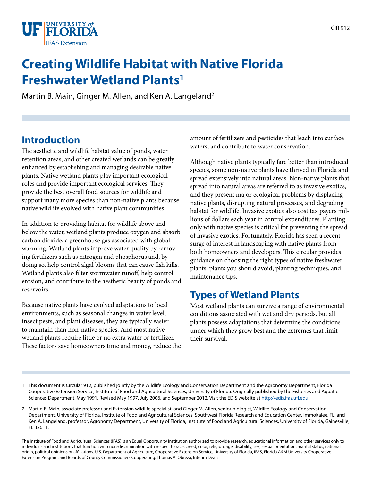

# **Creating Wildlife Habitat with Native Florida Freshwater Wetland Plants1**

Martin B. Main, Ginger M. Allen, and Ken A. Langeland<sup>2</sup>

## **Introduction**

The aesthetic and wildlife habitat value of ponds, water retention areas, and other created wetlands can be greatly enhanced by establishing and managing desirable native plants. Native wetland plants play important ecological roles and provide important ecological services. They provide the best overall food sources for wildlife and support many more species than non-native plants because native wildlife evolved with native plant communities.

In addition to providing habitat for wildlife above and below the water, wetland plants produce oxygen and absorb carbon dioxide, a greenhouse gas associated with global warming. Wetland plants improve water quality by removing fertilizers such as nitrogen and phosphorus and, by doing so, help control algal blooms that can cause fish kills. Wetland plants also filter stormwater runoff, help control erosion, and contribute to the aesthetic beauty of ponds and reservoirs.

Because native plants have evolved adaptations to local environments, such as seasonal changes in water level, insect pests, and plant diseases, they are typically easier to maintain than non-native species. And most native wetland plants require little or no extra water or fertilizer. These factors save homeowners time and money, reduce the amount of fertilizers and pesticides that leach into surface waters, and contribute to water conservation.

Although native plants typically fare better than introduced species, some non-native plants have thrived in Florida and spread extensively into natural areas. Non-native plants that spread into natural areas are referred to as invasive exotics, and they present major ecological problems by displacing native plants, disrupting natural processes, and degrading habitat for wildlife. Invasive exotics also cost tax payers millions of dollars each year in control expenditures. Planting only with native species is critical for preventing the spread of invasive exotics. Fortunately, Florida has seen a recent surge of interest in landscaping with native plants from both homeowners and developers. This circular provides guidance on choosing the right types of native freshwater plants, plants you should avoid, planting techniques, and maintenance tips.

### **Types of Wetland Plants**

Most wetland plants can survive a range of environmental conditions associated with wet and dry periods, but all plants possess adaptations that determine the conditions under which they grow best and the extremes that limit their survival.

- 1. This document is Circular 912, published jointly by the Wildlife Ecology and Conservation Department and the Agronomy Department, Florida Cooperative Extension Service, Institute of Food and Agricultural Sciences, University of Florida. Originally published by the Fisheries and Aquatic Sciences Department, May 1991. Revised May 1997, July 2006, and September 2012. Visit the EDIS website at [http://edis.ifas.ufl.edu.](http://edis.ifas.ufl.edu)
- 2. Martin B. Main, associate professor and Extension wildlife specialist, and Ginger M. Allen, senior biologist, Wildlife Ecology and Conservation Department, University of Florida, Institute of Food and Agricultural Sciences, Southwest Florida Research and Education Center, Immokalee, FL; and Ken A. Langeland, professor, Agronomy Department, University of Florida, Institute of Food and Agricultural Sciences, University of Florida, Gainesville, FL 32611.

The Institute of Food and Agricultural Sciences (IFAS) is an Equal Opportunity Institution authorized to provide research, educational information and other services only to individuals and institutions that function with non-discrimination with respect to race, creed, color, religion, age, disability, sex, sexual orientation, marital status, national origin, political opinions or affiliations. U.S. Department of Agriculture, Cooperative Extension Service, University of Florida, IFAS, Florida A&M University Cooperative Extension Program, and Boards of County Commissioners Cooperating. Thomas A. Obreza, Interim Dean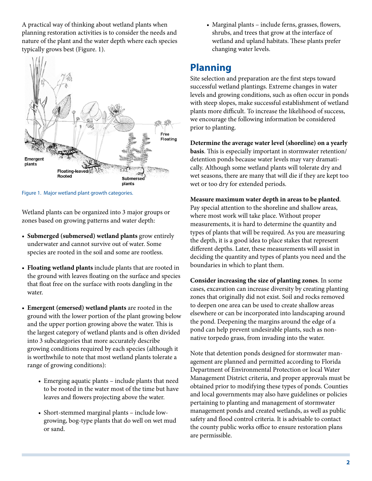A practical way of thinking about wetland plants when planning restoration activities is to consider the needs and nature of the plant and the water depth where each species typically grows best (Figure. 1).



Figure 1. Major wetland plant growth categories.

Wetland plants can be organized into 3 major groups or zones based on growing patterns and water depth:

- • **Submerged (submersed) wetland plants** grow entirely underwater and cannot survive out of water. Some species are rooted in the soil and some are rootless.
- • **Floating wetland plants** include plants that are rooted in the ground with leaves floating on the surface and species that float free on the surface with roots dangling in the water.
- • **Emergent (emersed) wetland plants** are rooted in the ground with the lower portion of the plant growing below and the upper portion growing above the water. This is the largest category of wetland plants and is often divided into 3 subcategories that more accurately describe growing conditions required by each species (although it is worthwhile to note that most wetland plants tolerate a range of growing conditions):
	- Emerging aquatic plants include plants that need to be rooted in the water most of the time but have leaves and flowers projecting above the water.
	- • Short-stemmed marginal plants include lowgrowing, bog-type plants that do well on wet mud or sand.

• Marginal plants – include ferns, grasses, flowers, shrubs, and trees that grow at the interface of wetland and upland habitats. These plants prefer changing water levels.

## **Planning**

Site selection and preparation are the first steps toward successful wetland plantings. Extreme changes in water levels and growing conditions, such as often occur in ponds with steep slopes, make successful establishment of wetland plants more difficult. To increase the likelihood of success, we encourage the following information be considered prior to planting.

**Determine the average water level (shoreline) on a yearly basis**. This is especially important in stormwater retention/ detention ponds because water levels may vary dramatically. Although some wetland plants will tolerate dry and wet seasons, there are many that will die if they are kept too wet or too dry for extended periods.

### **Measure maximum water depth in areas to be planted**.

Pay special attention to the shoreline and shallow areas, where most work will take place. Without proper measurements, it is hard to determine the quantity and types of plants that will be required. As you are measuring the depth, it is a good idea to place stakes that represent different depths. Later, these measurements will assist in deciding the quantity and types of plants you need and the boundaries in which to plant them.

**Consider increasing the size of planting zones**. In some cases, excavation can increase diversity by creating planting zones that originally did not exist. Soil and rocks removed to deepen one area can be used to create shallow areas elsewhere or can be incorporated into landscaping around the pond. Deepening the margins around the edge of a pond can help prevent undesirable plants, such as nonnative torpedo grass, from invading into the water.

Note that detention ponds designed for stormwater management are planned and permitted according to Florida Department of Environmental Protection or local Water Management District criteria, and proper approvals must be obtained prior to modifying these types of ponds. Counties and local governments may also have guidelines or policies pertaining to planting and management of stormwater management ponds and created wetlands, as well as public safety and flood control criteria. It is advisable to contact the county public works office to ensure restoration plans are permissible.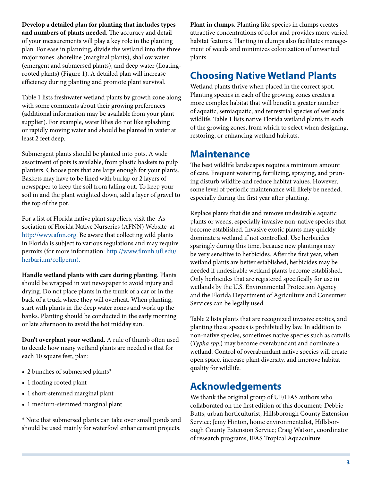**Develop a detailed plan for planting that includes types and numbers of plants needed**. The accuracy and detail of your measurements will play a key role in the planting plan. For ease in planning, divide the wetland into the three major zones: shoreline (marginal plants), shallow water (emergent and submersed plants), and deep water (floatingrooted plants) (Figure 1). A detailed plan will increase efficiency during planting and promote plant survival.

Table 1 lists freshwater wetland plants by growth zone along with some comments about their growing preferences (additional information may be available from your plant supplier). For example, water lilies do not like splashing or rapidly moving water and should be planted in water at least 2 feet deep.

Submergent plants should be planted into pots. A wide assortment of pots is available, from plastic baskets to pulp planters. Choose pots that are large enough for your plants. Baskets may have to be lined with burlap or 2 layers of newspaper to keep the soil from falling out. To keep your soil in and the plant weighted down, add a layer of gravel to the top of the pot.

For a list of Florida native plant suppliers, visit the Association of Florida Native Nurseries (AFNN) Website at [http://www.afnn.org.](http://www.afnn.org) Be aware that collecting wild plants in Florida is subject to various regulations and may require permits (for more information: [http://www.flmnh.ufl.edu/](http://www.flmnh.ufl.edu/herbarium/collperm) [herbarium/collperm\).](http://www.flmnh.ufl.edu/herbarium/collperm)

**Handle wetland plants with care during planting**. Plants should be wrapped in wet newspaper to avoid injury and drying. Do not place plants in the trunk of a car or in the back of a truck where they will overheat. When planting, start with plants in the deep water zones and work up the banks. Planting should be conducted in the early morning or late afternoon to avoid the hot midday sun.

**Don't overplant your wetland**. A rule of thumb often used to decide how many wetland plants are needed is that for each 10 square feet, plan:

- 2 bunches of submersed plants\*
- 1 floating rooted plant
- 1 short-stemmed marginal plant
- 1 medium-stemmed marginal plant

\* Note that submersed plants can take over small ponds and should be used mainly for waterfowl enhancement projects.

**Plant in clumps**. Planting like species in clumps creates attractive concentrations of color and provides more varied habitat features. Planting in clumps also facilitates management of weeds and minimizes colonization of unwanted plants.

### **Choosing Native Wetland Plants**

Wetland plants thrive when placed in the correct spot. Planting species in each of the growing zones creates a more complex habitat that will benefit a greater number of aquatic, semiaquatic, and terrestrial species of wetlands wildlife. Table 1 lists native Florida wetland plants in each of the growing zones, from which to select when designing, restoring, or enhancing wetland habitats.

### **Maintenance**

The best wildlife landscapes require a minimum amount of care. Frequent watering, fertilizing, spraying, and pruning disturb wildlife and reduce habitat values. However, some level of periodic maintenance will likely be needed, especially during the first year after planting.

Replace plants that die and remove undesirable aquatic plants or weeds, especially invasive non-native species that become established. Invasive exotic plants may quickly dominate a wetland if not controlled. Use herbicides sparingly during this time, because new plantings may be very sensitive to herbicides. After the first year, when wetland plants are better established, herbicides may be needed if undesirable wetland plants become established. Only herbicides that are registered specifically for use in wetlands by the U.S. Environmental Protection Agency and the Florida Department of Agriculture and Consumer Services can be legally used.

Table 2 lists plants that are recognized invasive exotics, and planting these species is prohibited by law. In addition to non-native species, sometimes native species such as cattails (*Typha spp.*) may become overabundant and dominate a wetland. Control of overabundant native species will create open space, increase plant diversity, and improve habitat quality for wildlife.

### **Acknowledgements**

We thank the original group of UF/IFAS authors who collaborated on the first edition of this document: Debbie Butts, urban horticulturist, Hillsborough County Extension Service; Jemy Hinton, home environmentalist, Hillsborough County Extension Service; Craig Watson, coordinator of research programs, IFAS Tropical Aquaculture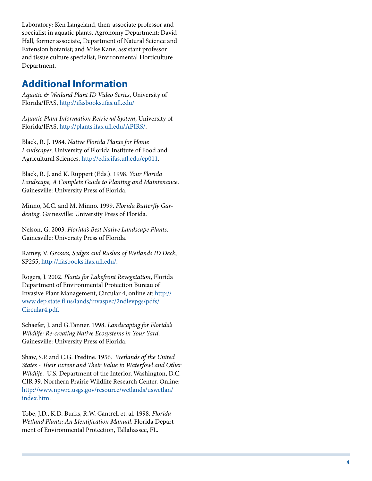Laboratory; Ken Langeland, then-associate professor and specialist in aquatic plants, Agronomy Department; David Hall, former associate, Department of Natural Science and Extension botanist; and Mike Kane, assistant professor and tissue culture specialist, Environmental Horticulture Department.

## **Additional Information**

*Aquatic & Wetland Plant ID Video Series*, University of Florida/IFAS, <http://ifasbooks.ifas.ufl.edu/>

*Aquatic Plant Information Retrieval System*, University of Florida/IFAS, <http://plants.ifas.ufl.edu/APIRS/> .

Black, R. J. 1984. *Native Florida Plants for Home Landscapes*. University of Florida Institute of Food and Agricultural Sciences.<http://edis.ifas.ufl.edu/ep011> .

Black, R. J. and K. Ruppert (Eds.). 1998. *Your Florida Landscape, A Complete Guide to Planting and Maintenance*. Gainesville: University Press of Florida.

Minno, M.C. and M. Minno. 1999. *Florida Butterfly Gar dening*. Gainesville: University Press of Florida.

Nelson, G. 2003. *Florida's Best Native Landscape Plants*. Gainesville: University Press of Florida.

Ramey, V. *Grasses, Sedges and Rushes of Wetlands ID Deck*, SP255, [http://ifasbooks.ifas.ufl.edu/.](http://ifasbooks.ifas.ufl.edu/)

Rogers, J. 2002. *Plants for Lakefront Revegetation*, Florida Department of Environmental Protection Bureau of Invasive Plant Management, Circular 4, online at: [http://](http://www.dep.state.fl.us) [www.dep.state.fl.us/lands/invaspec/2ndlevpgs/pdfs/](http://www.dep.state.fl.us) [Circular4.pdf.](http://www.dep.state.fl.us)

Schaefer, J. and G.Tanner. 1998. *Landscaping for Florida's Wildlife: Re-creating Native Ecosystems in Your Yard*. Gainesville: University Press of Florida.

Shaw, S.P. and C.G. Fredine. 1956. *Wetlands of the United States - Their Extent and Their Value to Waterfowl and Other Wildlife*. U.S. Department of the Interior, Washington, D.C. CIR 39. Northern Prairie Wildlife Research Center. Online: [http://www.npwrc.usgs.gov/resource/wetlands/uswetlan/](http://www.npwrc.usgs.gov/resource/wetlands/uswetlan/index.htm) [index.htm](http://www.npwrc.usgs.gov/resource/wetlands/uswetlan/index.htm) .

Tobe, J.D., K.D. Burks, R.W. Cantrell et. al. 1998. *Florida Wetland Plants: An Identification Manual,* Florida Depart ment of Environmental Protection, Tallahassee, FL.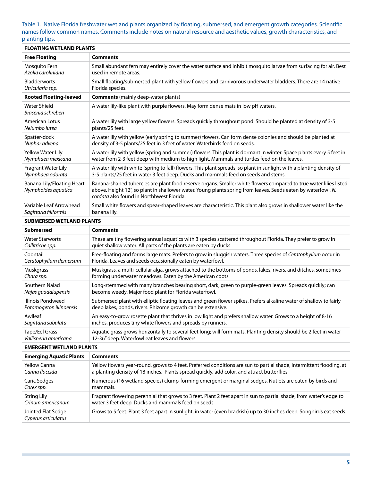#### Table 1. Native Florida freshwater wetland plants organized by floating, submersed, and emergent growth categories. Scientific names follow common names. Comments include notes on natural resource and aesthetic values, growth characteristics, and planting tips.

| <b>FLOATING WETLAND PLANTS</b>                    |                                                                                                                                                                                                                                                                                 |  |  |
|---------------------------------------------------|---------------------------------------------------------------------------------------------------------------------------------------------------------------------------------------------------------------------------------------------------------------------------------|--|--|
| <b>Free Floating</b>                              | <b>Comments</b>                                                                                                                                                                                                                                                                 |  |  |
| Mosquito Fern                                     | Small abundant fern may entirely cover the water surface and inhibit mosquito larvae from surfacing for air. Best                                                                                                                                                               |  |  |
| Azolla caroliniana                                | used in remote areas.                                                                                                                                                                                                                                                           |  |  |
| <b>Bladderworts</b>                               | Small floating/submersed plant with yellow flowers and carnivorous underwater bladders. There are 14 native                                                                                                                                                                     |  |  |
| Utricularia spp.                                  | Florida species.                                                                                                                                                                                                                                                                |  |  |
| <b>Rooted Floating-leaved</b>                     | <b>Comments</b> (mainly deep-water plants)                                                                                                                                                                                                                                      |  |  |
| <b>Water Shield</b><br>Brasenia schreberi         | A water lily-like plant with purple flowers. May form dense mats in low pH waters.                                                                                                                                                                                              |  |  |
| American Lotus                                    | A water lily with large yellow flowers. Spreads quickly throughout pond. Should be planted at density of 3-5                                                                                                                                                                    |  |  |
| Nelumbo lutea                                     | plants/25 feet.                                                                                                                                                                                                                                                                 |  |  |
| Spatter-dock                                      | A water lily with yellow (early spring to summer) flowers. Can form dense colonies and should be planted at                                                                                                                                                                     |  |  |
| Nuphar advena                                     | density of 3-5 plants/25 feet in 3 feet of water. Waterbirds feed on seeds.                                                                                                                                                                                                     |  |  |
| <b>Yellow Water Lily</b>                          | A water lily with yellow (spring and summer) flowers. This plant is dormant in winter. Space plants every 5 feet in                                                                                                                                                             |  |  |
| Nymphaea mexicana                                 | water from 2-3 feet deep with medium to high light. Mammals and turtles feed on the leaves.                                                                                                                                                                                     |  |  |
| Fragrant Water Lily                               | A water lily with white (spring to fall) flowers. This plant spreads, so plant in sunlight with a planting density of                                                                                                                                                           |  |  |
| Nymphaea odorata                                  | 3-5 plants/25 feet in water 3 feet deep. Ducks and mammals feed on seeds and stems.                                                                                                                                                                                             |  |  |
| Banana Lily/Floating Heart<br>Nymphoides aquatica | Banana-shaped tubercles are plant food reserve organs. Smaller white flowers compared to true water lilies listed<br>above. Height 12", so plant in shallower water. Young plants spring from leaves. Seeds eaten by waterfowl. N.<br>cordata also found in Northhwest Florida. |  |  |
| Variable Leaf Arrowhead                           | Small white flowers and spear-shaped leaves are characteristic. This plant also grows in shallower water like the                                                                                                                                                               |  |  |
| Sagittaria filiformis                             | banana lily.                                                                                                                                                                                                                                                                    |  |  |
| <b>SUBMERSED WETLAND PLANTS</b>                   |                                                                                                                                                                                                                                                                                 |  |  |
| <b>Submersed</b>                                  | <b>Comments</b>                                                                                                                                                                                                                                                                 |  |  |
| <b>Water Starworts</b>                            | These are tiny flowering annual aquatics with 3 species scattered throughout Florida. They prefer to grow in                                                                                                                                                                    |  |  |
| Callitriche spp.                                  | quiet shallow water. All parts of the plants are eaten by ducks.                                                                                                                                                                                                                |  |  |
| Coontail                                          | Free-floating and forms large mats. Prefers to grow in sluggish waters. Three species of Ceratophyllum occur in                                                                                                                                                                 |  |  |
| Ceratophyllum demersum                            | Florida. Leaves and seeds occasionally eaten by waterfowl.                                                                                                                                                                                                                      |  |  |
| Muskgrass                                         | Muskgrass, a multi-cellular alga, grows attached to the bottoms of ponds, lakes, rivers, and ditches, sometimes                                                                                                                                                                 |  |  |
| Chara spp.                                        | forming underwater meadows. Eaten by the American coots.                                                                                                                                                                                                                        |  |  |
| Southern Naiad                                    | Long-stemmed with many branches bearing short, dark, green to purple-green leaves. Spreads quickly; can                                                                                                                                                                         |  |  |
| Najas guadalupensis                               | become weedy. Major food plant for Florida waterfowl.                                                                                                                                                                                                                           |  |  |
| Illinois Pondweed                                 | Submersed plant with elliptic floating leaves and green flower spikes. Prefers alkaline water of shallow to fairly                                                                                                                                                              |  |  |
| Potamogeton illinoensis                           | deep lakes, ponds, rivers. Rhizome growth can be extensive.                                                                                                                                                                                                                     |  |  |
| Awlleaf                                           | An easy-to-grow rosette plant that thrives in low light and prefers shallow water. Grows to a height of 8-16                                                                                                                                                                    |  |  |
| Sagittaria subulata                               | inches, produces tiny white flowers and spreads by runners.                                                                                                                                                                                                                     |  |  |
| Tape/Eel Grass                                    | Aquatic grass grows horizontally to several feet long; will form mats. Planting density should be 2 feet in water                                                                                                                                                               |  |  |
| Vallisneria americana                             | 12-36" deep. Waterfowl eat leaves and flowers.                                                                                                                                                                                                                                  |  |  |
| <b>EMERGENT WETLAND PLANTS</b>                    |                                                                                                                                                                                                                                                                                 |  |  |
| <b>Emerging Aquatic Plants</b>                    | <b>Comments</b>                                                                                                                                                                                                                                                                 |  |  |
| <b>Yellow Canna</b>                               | Yellow flowers year-round, grows to 4 feet. Preferred conditions are sun to partial shade, intermittent flooding, at                                                                                                                                                            |  |  |
| Canna flaccida                                    | a planting density of 18 inches. Plants spread quickly, add color, and attract butterflies.                                                                                                                                                                                     |  |  |
| Caric Sedges                                      | Numerous (16 wetland species) clump-forming emergent or marginal sedges. Nutlets are eaten by birds and                                                                                                                                                                         |  |  |
| Carex spp.                                        | mammals.                                                                                                                                                                                                                                                                        |  |  |
| <b>String Lily</b>                                | Fragrant flowering perennial that grows to 3 feet. Plant 2 feet apart in sun to partial shade, from water's edge to                                                                                                                                                             |  |  |
| Crinum americanum                                 | water 3 feet deep. Ducks and mammals feed on seeds.                                                                                                                                                                                                                             |  |  |
| Jointed Flat Sedge<br>Cyperus articulatus         | Grows to 5 feet. Plant 3 feet apart in sunlight, in water (even brackish) up to 30 inches deep. Songbirds eat seeds.                                                                                                                                                            |  |  |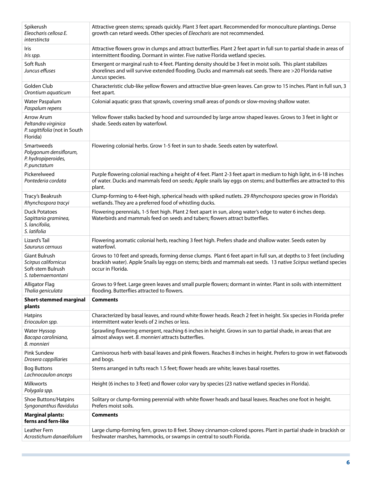| Spikerush<br>Eleocharis cellosa E.<br>interstincta                                      | Attractive green stems; spreads quickly. Plant 3 feet apart. Recommended for monoculture plantings. Dense<br>growth can retard weeds. Other species of Eleocharis are not recommended.                                                                     |
|-----------------------------------------------------------------------------------------|------------------------------------------------------------------------------------------------------------------------------------------------------------------------------------------------------------------------------------------------------------|
| Iris<br>Iris spp.                                                                       | Attractive flowers grow in clumps and attract butterflies. Plant 2 feet apart in full sun to partial shade in areas of<br>intermittent flooding. Dormant in winter. Five native Florida wetland species.                                                   |
| Soft Rush<br>Juncus effuses                                                             | Emergent or marginal rush to 4 feet. Planting density should be 3 feet in moist soils. This plant stabilizes<br>shorelines and will survive extended flooding. Ducks and mammals eat seeds. There are >20 Florida native<br>Juncus species.                |
| Golden Club<br>Orontium aquaticum                                                       | Characteristic club-like yellow flowers and attractive blue-green leaves. Can grow to 15 inches. Plant in full sun, 3<br>feet apart.                                                                                                                       |
| Water Paspalum<br>Paspalum repens                                                       | Colonial aquatic grass that sprawls, covering small areas of ponds or slow-moving shallow water.                                                                                                                                                           |
| Arrow Arum<br>Peltandra virginica<br>P. sagittifolia (not in South<br>Florida)          | Yellow flower stalks backed by hood and surrounded by large arrow shaped leaves. Grows to 3 feet in light or<br>shade. Seeds eaten by waterfowl.                                                                                                           |
| Smartweeds<br>Polygonum densiflorum,<br>P. hydropiperoides,<br>P. punctatum             | Flowering colonial herbs. Grow 1-5 feet in sun to shade. Seeds eaten by waterfowl.                                                                                                                                                                         |
| Pickerelweed<br>Pontederia cordata                                                      | Purple flowering colonial reaching a height of 4 feet. Plant 2-3 feet apart in medium to high light, in 6-18 inches<br>of water. Ducks and mammals feed on seeds; Apple snails lay eggs on stems; and butterflies are attracted to this<br>plant.          |
| Tracy's Beakrush<br>Rhynchospora tracyi                                                 | Clump-forming to 4-feet-high, spherical heads with spiked nutlets. 29 Rhynchospora species grow in Florida's<br>wetlands. They are a preferred food of whistling ducks.                                                                                    |
| <b>Duck Potatoes</b><br>Sagittaria graminea,<br>S. lancifolia,<br>S. latifolia          | Flowering perennials, 1-5 feet high. Plant 2 feet apart in sun, along water's edge to water 6 inches deep.<br>Waterbirds and mammals feed on seeds and tubers; flowers attract butterflies.                                                                |
| Lizard's Tail<br>Saururus cernuus                                                       | Flowering aromatic colonial herb, reaching 3 feet high. Prefers shade and shallow water. Seeds eaten by<br>waterfowl.                                                                                                                                      |
| <b>Giant Bulrush</b><br>Scirpus californicus<br>Soft-stem Bulrush<br>S. tabernaemontani | Grows to 10 feet and spreads, forming dense clumps. Plant 6 feet apart in full sun, at depths to 3 feet (including<br>brackish water). Apple Snails lay eggs on stems; birds and mammals eat seeds. 13 native Scirpus wetland species<br>occur in Florida. |
| <b>Alligator Flag</b><br>Thalia geniculata                                              | Grows to 9 feet. Large green leaves and small purple flowers; dormant in winter. Plant in soils with intermittent<br>flooding. Butterflies attracted to flowers.                                                                                           |
| <b>Short-stemmed marginal</b><br>plants                                                 | <b>Comments</b>                                                                                                                                                                                                                                            |
| <b>Hatpins</b><br>Eriocaulon spp.                                                       | Characterized by basal leaves, and round white flower heads. Reach 2 feet in height. Six species in Florida prefer<br>intermittent water levels of 2 inches or less.                                                                                       |
| Water Hyssop<br>Bacopa caroliniana,<br>B. monnieri                                      | Sprawling flowering emergent, reaching 6 inches in height. Grows in sun to partial shade, in areas that are<br>almost always wet. B. monnieri attracts butterflies.                                                                                        |
| <b>Pink Sundew</b><br>Drosera cappillaries                                              | Carnivorous herb with basal leaves and pink flowers. Reaches 8 inches in height. Prefers to grow in wet flatwoods<br>and bogs.                                                                                                                             |
| <b>Bog Buttons</b><br>Lachnocaulon anceps                                               | Stems arranged in tufts reach 1.5 feet; flower heads are white; leaves basal rosettes.                                                                                                                                                                     |
| <b>Milkworts</b><br>Polygala spp.                                                       | Height (6 inches to 3 feet) and flower color vary by species (23 native wetland species in Florida).                                                                                                                                                       |
| Shoe Buttons/Hatpins<br>Syngonanthus flavidulus                                         | Solitary or clump-forming perennial with white flower heads and basal leaves. Reaches one foot in height.<br>Prefers moist soils.                                                                                                                          |
| <b>Marginal plants:</b><br>ferns and fern-like                                          | <b>Comments</b>                                                                                                                                                                                                                                            |
| Leather Fern<br>Acrostichum danaeifolium                                                | Large clump-forming fern, grows to 8 feet. Showy cinnamon-colored spores. Plant in partial shade in brackish or<br>freshwater marshes, hammocks, or swamps in central to south Florida.                                                                    |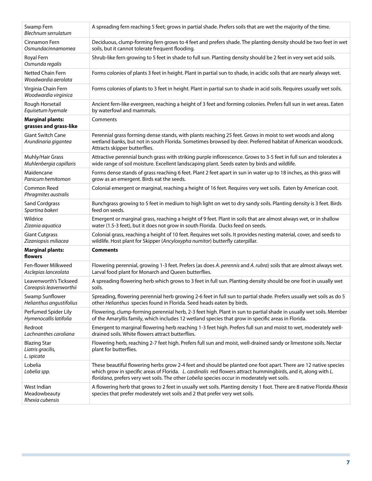| Swamp Fern<br>Blechnum serrulatum                      | A spreading fern reaching 5 feet; grows in partial shade. Prefers soils that are wet the majority of the time.                                                                                                                                                                                                                   |
|--------------------------------------------------------|----------------------------------------------------------------------------------------------------------------------------------------------------------------------------------------------------------------------------------------------------------------------------------------------------------------------------------|
| Cinnamon Fern                                          | Deciduous, clump-forming fern grows to 4 feet and prefers shade. The planting density should be two feet in wet                                                                                                                                                                                                                  |
| Osmundacinnamomea                                      | soils, but it cannot tolerate frequent flooding.                                                                                                                                                                                                                                                                                 |
| Royal Fern<br>Osmunda regalis                          | Shrub-like fern growing to 5 feet in shade to full sun. Planting density should be 2 feet in very wet acid soils.                                                                                                                                                                                                                |
| Netted Chain Fern<br>Woodwardia aerolata               | Forms colonies of plants 3 feet in height. Plant in partial sun to shade, in acidic soils that are nearly always wet.                                                                                                                                                                                                            |
| Virginia Chain Fern<br>Woodwardia virginica            | Forms colonies of plants to 3 feet in height. Plant in partial sun to shade in acid soils. Requires usually wet soils.                                                                                                                                                                                                           |
| Rough Horsetail                                        | Ancient fern-like evergreen, reaching a height of 3 feet and forming colonies. Prefers full sun in wet areas. Eaten                                                                                                                                                                                                              |
| Equisetum hyemale                                      | by waterfowl and mammals.                                                                                                                                                                                                                                                                                                        |
| <b>Marginal plants:</b><br>grasses and grass-like      | Comments                                                                                                                                                                                                                                                                                                                         |
| <b>Giant Switch Cane</b><br>Arundinaria gigantea       | Perennial grass forming dense stands, with plants reaching 25 feet. Grows in moist to wet woods and along<br>wetland banks, but not in south Florida. Sometimes browsed by deer. Preferred habitat of American woodcock.<br>Attracts skipper butterflies.                                                                        |
| Muhly/Hair Grass                                       | Attractive perennial bunch grass with striking purple inflorescence. Grows to 3-5 feet in full sun and tolerates a                                                                                                                                                                                                               |
| Muhlenbergia capillaris                                | wide range of soil moisture. Excellent landscaping plant. Seeds eaten by birds and wildlife.                                                                                                                                                                                                                                     |
| Maidencane                                             | Forms dense stands of grass reaching 6 feet. Plant 2 feet apart in sun in water up to 18 inches, as this grass will                                                                                                                                                                                                              |
| Panicum hemitomon                                      | grow as an emergent. Birds eat the seeds.                                                                                                                                                                                                                                                                                        |
| Common Reed<br>Phragmites australis                    | Colonial emergent or marginal, reaching a height of 16 feet. Requires very wet soils. Eaten by American coot.                                                                                                                                                                                                                    |
| <b>Sand Cordgrass</b>                                  | Bunchgrass growing to 5 feet in medium to high light on wet to dry sandy soils. Planting density is 3 feet. Birds                                                                                                                                                                                                                |
| Spartina bakeri                                        | feed on seeds.                                                                                                                                                                                                                                                                                                                   |
| Wildrice                                               | Emergent or marginal grass, reaching a height of 9 feet. Plant in soils that are almost always wet, or in shallow                                                                                                                                                                                                                |
| Zizania aquatica                                       | water (1.5-3 feet), but it does not grow in south Florida. Ducks feed on seeds.                                                                                                                                                                                                                                                  |
| <b>Giant Cutgrass</b>                                  | Colonial grass, reaching a height of 10 feet. Requires wet soils. It provides nesting material, cover, and seeds to                                                                                                                                                                                                              |
| Zizaniopsis miliacea                                   | wildlife. Host plant for Skipper (Ancyloxypha numitor) butterfly caterpillar.                                                                                                                                                                                                                                                    |
| <b>Marginal plants:</b><br>flowers                     | <b>Comments</b>                                                                                                                                                                                                                                                                                                                  |
| Fen-flower Milkweed                                    | Flowering perennial, growing 1-3 feet. Prefers (as does A. perennis and A. rubra) soils that are almost always wet.                                                                                                                                                                                                              |
| Asclepias lanceolata                                   | Larval food plant for Monarch and Queen butterflies.                                                                                                                                                                                                                                                                             |
| Leavenworth's Tickseed                                 | A spreading flowering herb which grows to 3 feet in full sun. Planting density should be one foot in usually wet                                                                                                                                                                                                                 |
| Coreopsis leavenworthii                                | soils.                                                                                                                                                                                                                                                                                                                           |
| Swamp Sunflower                                        | Spreading, flowering perennial herb growing 2-6 feet in full sun to partial shade. Prefers usually wet soils as do 5                                                                                                                                                                                                             |
| Helianthus angustifolius                               | other Helianthus species found in Florida. Seed heads eaten by birds.                                                                                                                                                                                                                                                            |
| Perfumed Spider Lily                                   | Flowering, clump-forming perennial herb, 2-3 feet high. Plant in sun to partial shade in usually wet soils. Member                                                                                                                                                                                                               |
| Hymenocallis latifolia                                 | of the Amaryllis family, which includes 12 wetland species that grow in specific areas in Florida.                                                                                                                                                                                                                               |
| Redroot                                                | Emergent to marginal flowering herb reaching 1-3 feet high. Prefers full sun and moist to wet, moderately well-                                                                                                                                                                                                                  |
| Lachnanthes caroliana                                  | drained soils. White flowers attract butterflies.                                                                                                                                                                                                                                                                                |
| <b>Blazing Star</b><br>Liatris gracilis,<br>L. spicata | Flowering herb, reaching 2-7 feet high. Prefers full sun and moist, well-drained sandy or limestone soils. Nectar<br>plant for butterflies.                                                                                                                                                                                      |
| Lobelia<br>Lobelia spp.                                | These beautiful flowering herbs grow 2-4 feet and should be planted one foot apart. There are 12 native species<br>which grow in specific areas of Florida. L. cardinalis red flowers attract hummingbirds, and it, along with L.<br>floridana, prefers very wet soils. The other Lobelia species occur in moderately wet soils. |
| West Indian<br>Meadowbeauty<br>Rhexia cubensis         | A flowering herb that grows to 2 feet in usually wet soils. Planting density 1 foot. There are 8 native Florida Rhexia<br>species that prefer moderately wet soils and 2 that prefer very wet soils.                                                                                                                             |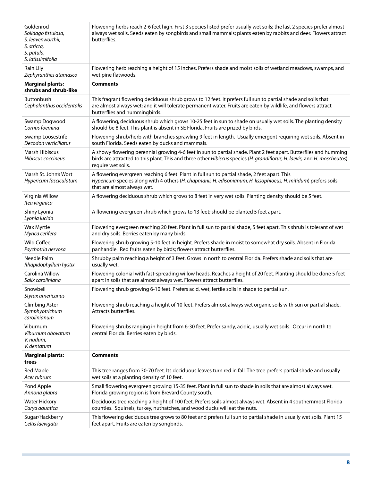| Goldenrod<br>Solidago fistulosa,<br>S. leavenworthii,<br>S. stricta,<br>S. patula,<br>S. latissimifolia | Flowering herbs reach 2-6 feet high. First 3 species listed prefer usually wet soils; the last 2 species prefer almost<br>always wet soils. Seeds eaten by songbirds and small mammals; plants eaten by rabbits and deer. Flowers attract<br>butterflies.           |
|---------------------------------------------------------------------------------------------------------|---------------------------------------------------------------------------------------------------------------------------------------------------------------------------------------------------------------------------------------------------------------------|
| Rain Lily                                                                                               | Flowering herb reaching a height of 15 inches. Prefers shade and moist soils of wetland meadows, swamps, and                                                                                                                                                        |
| Zephyranthes atamasco                                                                                   | wet pine flatwoods.                                                                                                                                                                                                                                                 |
| <b>Marginal plants:</b><br>shrubs and shrub-like                                                        | <b>Comments</b>                                                                                                                                                                                                                                                     |
| <b>Buttonbush</b><br>Cephalanthus occidentalis                                                          | This fragrant flowering deciduous shrub grows to 12 feet. It prefers full sun to partial shade and soils that<br>are almost always wet; and it will tolerate permanent water. Fruits are eaten by wildlife, and flowers attract<br>butterflies and hummingbirds.    |
| Swamp Dogwood                                                                                           | A flowering, deciduous shrub which grows 10-25 feet in sun to shade on usually wet soils. The planting density                                                                                                                                                      |
| Cornus foemina                                                                                          | should be 8 feet. This plant is absent in SE Florida. Fruits are prized by birds.                                                                                                                                                                                   |
| Swamp Loosestrife                                                                                       | Flowering shrub/herb with branches sprawling 9 feet in length. Usually emergent requiring wet soils. Absent in                                                                                                                                                      |
| Decodon verticillatus                                                                                   | south Florida. Seeds eaten by ducks and mammals.                                                                                                                                                                                                                    |
| Marsh Hibiscus<br>Hibiscus coccineus                                                                    | A showy flowering perennial growing 4-6 feet in sun to partial shade. Plant 2 feet apart. Butterflies and humming<br>birds are attracted to this plant. This and three other Hibiscus species (H. grandiflorus, H. laevis, and H. moscheutos)<br>require wet soils. |
| Marsh St. John's Wort<br>Hypericum fasciculatum                                                         | A flowering evergreen reaching 6 feet. Plant in full sun to partial shade, 2 feet apart. This<br>Hypericum species along with 4 others (H. chapmanii, H. edisonianum, H. lissophloeus, H. mitidum) prefers soils<br>that are almost always wet.                     |
| Virginia Willow<br>Itea virginica                                                                       | A flowering deciduous shrub which grows to 8 feet in very wet soils. Planting density should be 5 feet.                                                                                                                                                             |
| Shiny Lyonia<br>Lyonia lucida                                                                           | A flowering evergreen shrub which grows to 13 feet; should be planted 5 feet apart.                                                                                                                                                                                 |
| Wax Myrtle                                                                                              | Flowering evergreen reaching 20 feet. Plant in full sun to partial shade, 5 feet apart. This shrub is tolerant of wet                                                                                                                                               |
| Myrica cerifera                                                                                         | and dry soils. Berries eaten by many birds.                                                                                                                                                                                                                         |
| Wild Coffee                                                                                             | Flowering shrub growing 5-10 feet in height. Prefers shade in moist to somewhat dry soils. Absent in Florida                                                                                                                                                        |
| Psychotria nervosa                                                                                      | panhandle. Red fruits eaten by birds; flowers attract butterflies.                                                                                                                                                                                                  |
| Needle Palm                                                                                             | Shrubby palm reaching a height of 3 feet. Grows in north to central Florida. Prefers shade and soils that are                                                                                                                                                       |
| Rhapidophyllum hystix                                                                                   | usually wet.                                                                                                                                                                                                                                                        |
| Carolina Willow                                                                                         | Flowering colonial with fast-spreading willow heads. Reaches a height of 20 feet. Planting should be done 5 feet                                                                                                                                                    |
| Salix caroliniana                                                                                       | apart in soils that are almost always wet. Flowers attract butterflies.                                                                                                                                                                                             |
| Snowbell<br>Styrax americanus                                                                           | Flowering shrub growing 6-10 feet. Prefers acid, wet, fertile soils in shade to partial sun.                                                                                                                                                                        |
| <b>Climbing Aster</b><br>Symphyotrichum<br>carolinianum                                                 | Flowering shrub reaching a height of 10 feet. Prefers almost always wet organic soils with sun or partial shade.<br>Attracts butterflies.                                                                                                                           |
| Viburnum<br>Viburnum obovatum<br>V. nudum,<br>V. dentatum                                               | Flowering shrubs ranging in height from 6-30 feet. Prefer sandy, acidic, usually wet soils. Occur in north to<br>central Florida. Berries eaten by birds.                                                                                                           |
| <b>Marginal plants:</b><br>trees                                                                        | <b>Comments</b>                                                                                                                                                                                                                                                     |
| Red Maple                                                                                               | This tree ranges from 30-70 feet. Its deciduous leaves turn red in fall. The tree prefers partial shade and usually                                                                                                                                                 |
| Acer rubrum                                                                                             | wet soils at a planting density of 10 feet.                                                                                                                                                                                                                         |
| Pond Apple                                                                                              | Small flowering evergreen growing 15-35 feet. Plant in full sun to shade in soils that are almost always wet.                                                                                                                                                       |
| Annona glabra                                                                                           | Florida growing region is from Brevard County south.                                                                                                                                                                                                                |
| <b>Water Hickory</b>                                                                                    | Deciduous tree reaching a height of 100 feet. Prefers soils almost always wet. Absent in 4 southernmost Florida                                                                                                                                                     |
| Carya aquatica                                                                                          | counties. Squirrels, turkey, nuthatches, and wood ducks will eat the nuts.                                                                                                                                                                                          |
| Sugar/Hackberry                                                                                         | This flowering deciduous tree grows to 80 feet and prefers full sun to partial shade in usually wet soils. Plant 15                                                                                                                                                 |
| Celtis laevigata                                                                                        | feet apart. Fruits are eaten by songbirds.                                                                                                                                                                                                                          |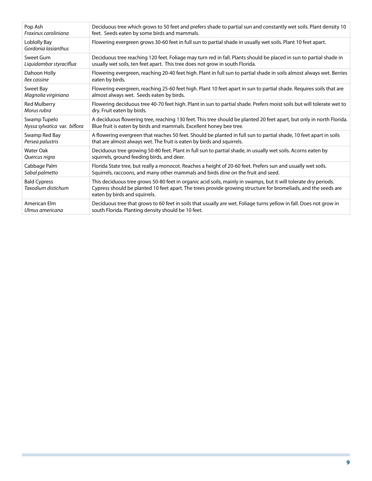| Pop Ash                                   | Deciduous tree which grows to 50 feet and prefers shade to partial sun and constantly wet soils. Plant density 10                                                                                                                                                  |
|-------------------------------------------|--------------------------------------------------------------------------------------------------------------------------------------------------------------------------------------------------------------------------------------------------------------------|
| Fraxinus caroliniana                      | feet. Seeds eaten by some birds and mammals.                                                                                                                                                                                                                       |
| Loblolly Bay<br>Gordonia lasianthus       | Flowering evergreen grows 30-60 feet in full sun to partial shade in usually wet soils. Plant 10 feet apart.                                                                                                                                                       |
| Sweet Gum                                 | Deciduous tree reaching 120 feet. Foliage may turn red in fall. Plants should be placed in sun to partial shade in                                                                                                                                                 |
| Liquidambar styraciflua                   | usually wet soils, ten feet apart. This tree does not grow in south Florida.                                                                                                                                                                                       |
| Dahoon Holly                              | Flowering evergreen, reaching 20-40 feet high. Plant in full sun to partial shade in soils almost always wet. Berries                                                                                                                                              |
| llex cassine                              | eaten by birds.                                                                                                                                                                                                                                                    |
| Sweet Bay                                 | Flowering evergreen, reaching 25-60 feet high. Plant 10 feet apart in sun to partial shade. Requires soils that are                                                                                                                                                |
| Magnolia virginiana                       | almost always wet. Seeds eaten by birds.                                                                                                                                                                                                                           |
| <b>Red Mulberry</b>                       | Flowering deciduous tree 40-70 feet high. Plant in sun to partial shade. Prefers moist soils but will tolerate wet to                                                                                                                                              |
| Morus rubra                               | dry. Fruit eaten by birds.                                                                                                                                                                                                                                         |
| Swamp Tupelo                              | A deciduous flowering tree, reaching 130 feet. This tree should be planted 20 feet apart, but only in north Florida.                                                                                                                                               |
| Nyssa sylvatica var. biflora              | Blue fruit is eaten by birds and mammals. Excellent honey bee tree.                                                                                                                                                                                                |
| Swamp Red Bay                             | A flowering evergreen that reaches 50 feet. Should be planted in full sun to partial shade, 10 feet apart in soils                                                                                                                                                 |
| Persea palustris                          | that are almost always wet. The fruit is eaten by birds and squirrels.                                                                                                                                                                                             |
| <b>Water Oak</b>                          | Deciduous tree growing 50-80 feet. Plant in full sun to partial shade, in usually wet soils. Acorns eaten by                                                                                                                                                       |
| Quercus nigra                             | squirrels, ground feeding birds, and deer.                                                                                                                                                                                                                         |
| Cabbage Palm                              | Florida State tree, but really a monocot. Reaches a height of 20-60 feet. Prefers sun and usually wet soils.                                                                                                                                                       |
| Sabal palmetto                            | Squirrels, raccoons, and many other mammals and birds dine on the fruit and seed.                                                                                                                                                                                  |
| <b>Bald Cypress</b><br>Taxodium distichum | This deciduous tree grows 50-80 feet in organic acid soils, mainly in swamps, but it will tolerate dry periods.<br>Cypress should be planted 10 feet apart. The trees provide growing structure for bromeliads, and the seeds are<br>eaten by birds and squirrels. |
| American Elm                              | Deciduous tree that grows to 60 feet in soils that usually are wet. Foliage turns yellow in fall. Does not grow in                                                                                                                                                 |
| Ulmus americana                           | south Florida. Planting density should be 10 feet.                                                                                                                                                                                                                 |